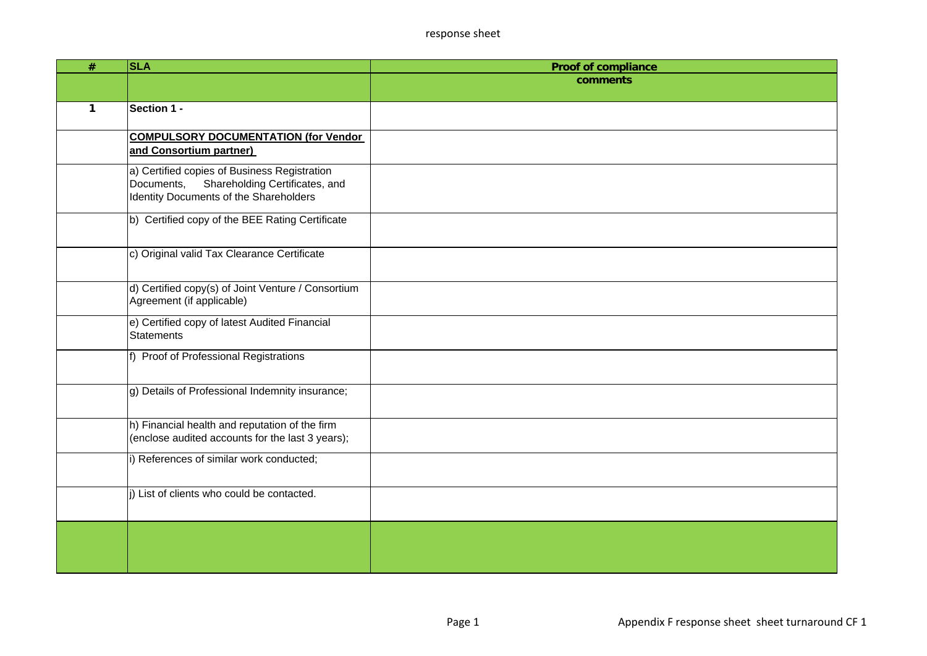| $\#$ | <b>SLA</b>                                                                             | <b>Proof of compliance</b> |
|------|----------------------------------------------------------------------------------------|----------------------------|
|      |                                                                                        | comments                   |
|      |                                                                                        |                            |
| 1    | Section 1 -                                                                            |                            |
|      | <b>COMPULSORY DOCUMENTATION (for Vendor</b>                                            |                            |
|      | and Consortium partner)                                                                |                            |
|      | a) Certified copies of Business Registration                                           |                            |
|      | Shareholding Certificates, and<br>Documents,<br>Identity Documents of the Shareholders |                            |
|      |                                                                                        |                            |
|      | b) Certified copy of the BEE Rating Certificate                                        |                            |
|      |                                                                                        |                            |
|      | c) Original valid Tax Clearance Certificate                                            |                            |
|      |                                                                                        |                            |
|      | d) Certified copy(s) of Joint Venture / Consortium                                     |                            |
|      | Agreement (if applicable)                                                              |                            |
|      | e) Certified copy of latest Audited Financial                                          |                            |
|      | <b>Statements</b>                                                                      |                            |
|      | f) Proof of Professional Registrations                                                 |                            |
|      |                                                                                        |                            |
|      |                                                                                        |                            |
|      | g) Details of Professional Indemnity insurance;                                        |                            |
|      |                                                                                        |                            |
|      | h) Financial health and reputation of the firm                                         |                            |
|      | (enclose audited accounts for the last 3 years);                                       |                            |
|      | i) References of similar work conducted;                                               |                            |
|      |                                                                                        |                            |
|      | i) List of clients who could be contacted.                                             |                            |
|      |                                                                                        |                            |
|      |                                                                                        |                            |
|      |                                                                                        |                            |
|      |                                                                                        |                            |
|      |                                                                                        |                            |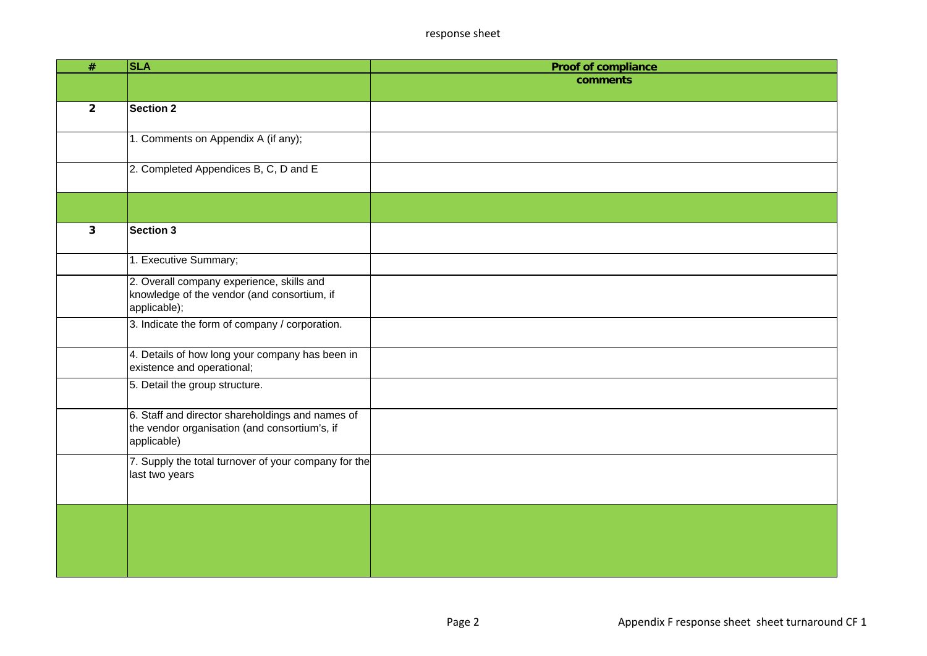| $\overline{\#}$ | <b>SLA</b>                                                                                                       | <b>Proof of compliance</b> |
|-----------------|------------------------------------------------------------------------------------------------------------------|----------------------------|
|                 |                                                                                                                  | comments                   |
|                 |                                                                                                                  |                            |
| $\overline{2}$  | <b>Section 2</b>                                                                                                 |                            |
|                 | 1. Comments on Appendix A (if any);                                                                              |                            |
|                 | 2. Completed Appendices B, C, D and E                                                                            |                            |
|                 |                                                                                                                  |                            |
| 3               | <b>Section 3</b>                                                                                                 |                            |
|                 | 1. Executive Summary;                                                                                            |                            |
|                 | 2. Overall company experience, skills and<br>knowledge of the vendor (and consortium, if<br>applicable);         |                            |
|                 | 3. Indicate the form of company / corporation.                                                                   |                            |
|                 | 4. Details of how long your company has been in<br>existence and operational;                                    |                            |
|                 | 5. Detail the group structure.                                                                                   |                            |
|                 | 6. Staff and director shareholdings and names of<br>the vendor organisation (and consortium's, if<br>applicable) |                            |
|                 | 7. Supply the total turnover of your company for the<br>last two years                                           |                            |
|                 |                                                                                                                  |                            |
|                 |                                                                                                                  |                            |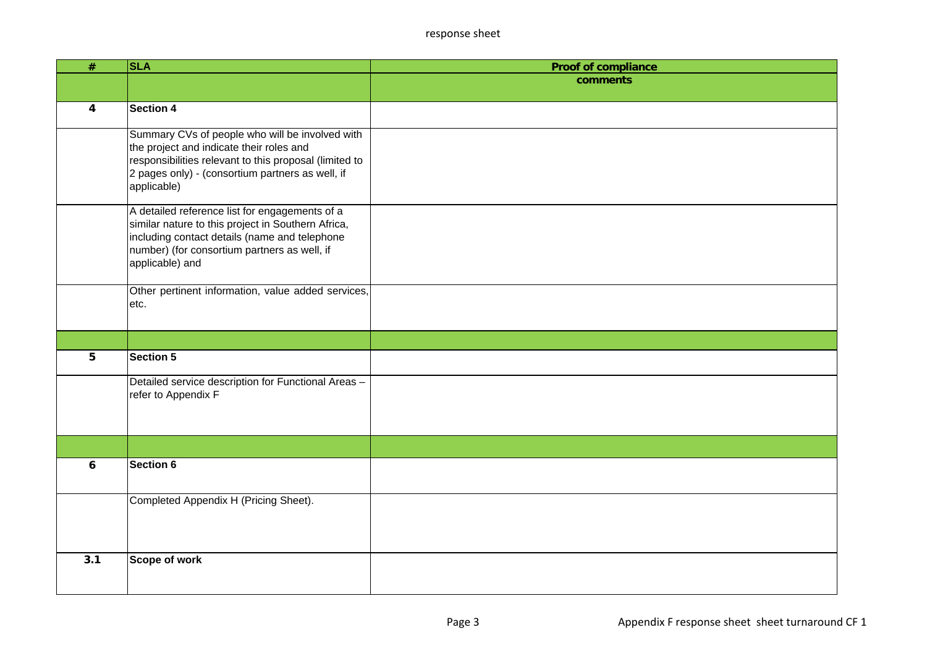| $\overline{\#}$  | <b>SLA</b>                                             | <b>Proof of compliance</b> |
|------------------|--------------------------------------------------------|----------------------------|
|                  |                                                        | comments                   |
|                  |                                                        |                            |
| 4                | <b>Section 4</b>                                       |                            |
|                  | Summary CVs of people who will be involved with        |                            |
|                  | the project and indicate their roles and               |                            |
|                  | responsibilities relevant to this proposal (limited to |                            |
|                  | 2 pages only) - (consortium partners as well, if       |                            |
|                  | applicable)                                            |                            |
|                  | A detailed reference list for engagements of a         |                            |
|                  | similar nature to this project in Southern Africa,     |                            |
|                  | including contact details (name and telephone          |                            |
|                  | number) (for consortium partners as well, if           |                            |
|                  | applicable) and                                        |                            |
|                  | Other pertinent information, value added services,     |                            |
|                  | etc.                                                   |                            |
|                  |                                                        |                            |
|                  |                                                        |                            |
|                  |                                                        |                            |
| 5                | Section 5                                              |                            |
|                  | Detailed service description for Functional Areas -    |                            |
|                  | refer to Appendix F                                    |                            |
|                  |                                                        |                            |
|                  |                                                        |                            |
|                  |                                                        |                            |
| 6                | <b>Section 6</b>                                       |                            |
|                  |                                                        |                            |
|                  | Completed Appendix H (Pricing Sheet).                  |                            |
|                  |                                                        |                            |
|                  |                                                        |                            |
|                  |                                                        |                            |
| $\overline{3.1}$ | Scope of work                                          |                            |
|                  |                                                        |                            |
|                  |                                                        |                            |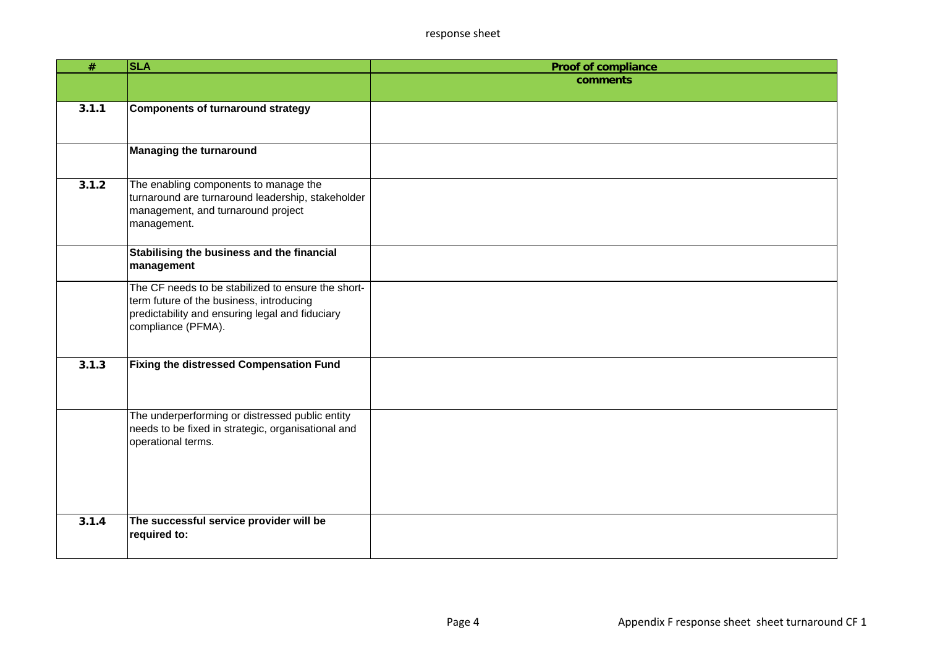| $\#$  | <b>SLA</b>                                                            | <b>Proof of compliance</b> |
|-------|-----------------------------------------------------------------------|----------------------------|
|       |                                                                       | comments                   |
|       |                                                                       |                            |
| 3.1.1 | Components of turnaround strategy                                     |                            |
|       |                                                                       |                            |
|       | <b>Managing the turnaround</b>                                        |                            |
|       |                                                                       |                            |
| 3.1.2 | The enabling components to manage the                                 |                            |
|       | turnaround are turnaround leadership, stakeholder                     |                            |
|       | management, and turnaround project                                    |                            |
|       | management.                                                           |                            |
|       | Stabilising the business and the financial                            |                            |
|       | management                                                            |                            |
|       | The CF needs to be stabilized to ensure the short-                    |                            |
|       | term future of the business, introducing                              |                            |
|       | predictability and ensuring legal and fiduciary<br>compliance (PFMA). |                            |
|       |                                                                       |                            |
|       |                                                                       |                            |
| 3.1.3 | Fixing the distressed Compensation Fund                               |                            |
|       |                                                                       |                            |
|       |                                                                       |                            |
|       | The underperforming or distressed public entity                       |                            |
|       | needs to be fixed in strategic, organisational and                    |                            |
|       | operational terms.                                                    |                            |
|       |                                                                       |                            |
|       |                                                                       |                            |
|       |                                                                       |                            |
| 3.1.4 | The successful service provider will be                               |                            |
|       | required to:                                                          |                            |
|       |                                                                       |                            |
|       |                                                                       |                            |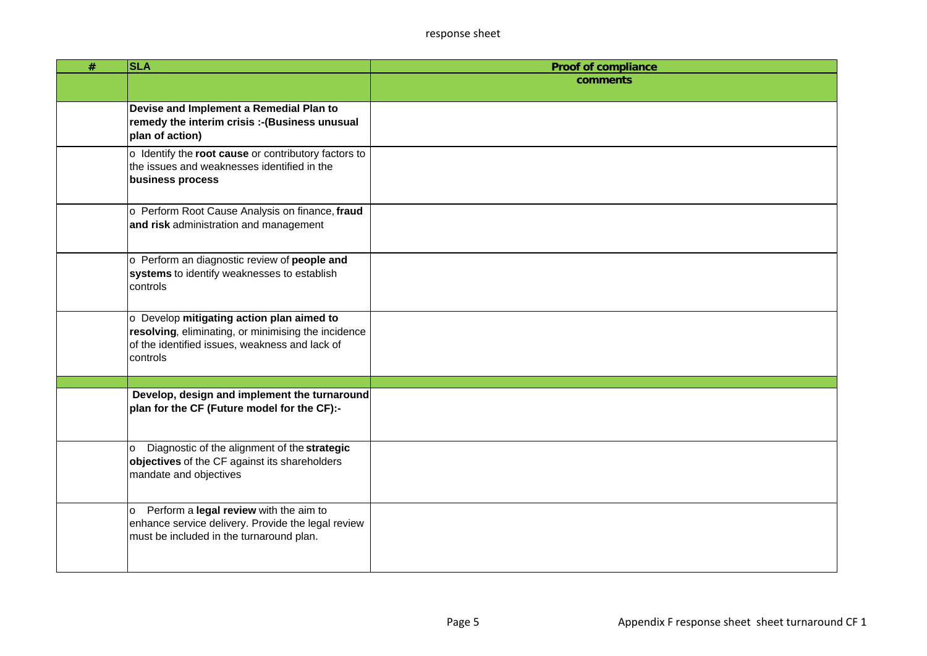| $\#$ | <b>SLA</b>                                                                                                                                                     | <b>Proof of compliance</b> |
|------|----------------------------------------------------------------------------------------------------------------------------------------------------------------|----------------------------|
|      |                                                                                                                                                                | comments                   |
|      | Devise and Implement a Remedial Plan to<br>remedy the interim crisis :- (Business unusual<br>plan of action)                                                   |                            |
|      | o Identify the root cause or contributory factors to<br>the issues and weaknesses identified in the<br>business process                                        |                            |
|      | o Perform Root Cause Analysis on finance, fraud<br>and risk administration and management                                                                      |                            |
|      | o Perform an diagnostic review of people and<br>systems to identify weaknesses to establish<br>controls                                                        |                            |
|      | o Develop mitigating action plan aimed to<br>resolving, eliminating, or minimising the incidence<br>of the identified issues, weakness and lack of<br>controls |                            |
|      |                                                                                                                                                                |                            |
|      | Develop, design and implement the turnaround<br>plan for the CF (Future model for the CF):-                                                                    |                            |
|      | Diagnostic of the alignment of the strategic<br>lo.<br>objectives of the CF against its shareholders<br>mandate and objectives                                 |                            |
|      | Perform a legal review with the aim to<br>lo.<br>enhance service delivery. Provide the legal review<br>must be included in the turnaround plan.                |                            |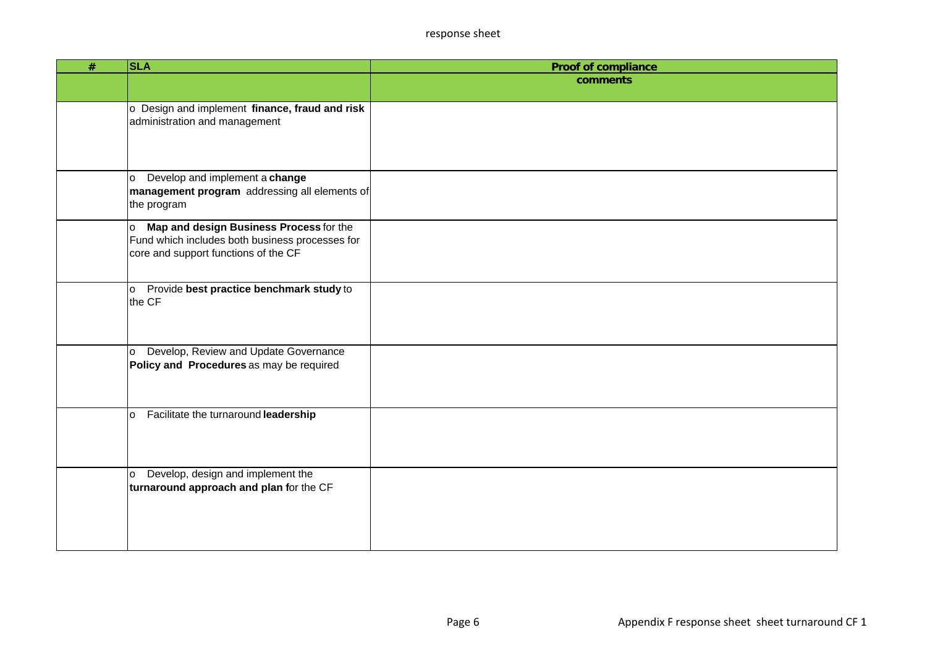| $\overline{\#}$ | <b>SLA</b>                                                                             | <b>Proof of compliance</b> |
|-----------------|----------------------------------------------------------------------------------------|----------------------------|
|                 |                                                                                        | comments                   |
|                 |                                                                                        |                            |
|                 | o Design and implement finance, fraud and risk<br>administration and management        |                            |
|                 |                                                                                        |                            |
|                 |                                                                                        |                            |
|                 |                                                                                        |                            |
|                 | Develop and implement a change<br>o                                                    |                            |
|                 | management program addressing all elements of                                          |                            |
|                 | the program                                                                            |                            |
|                 | Map and design Business Process for the<br>o                                           |                            |
|                 | Fund which includes both business processes for                                        |                            |
|                 | core and support functions of the CF                                                   |                            |
|                 |                                                                                        |                            |
|                 | o Provide best practice benchmark study to<br>the CF                                   |                            |
|                 |                                                                                        |                            |
|                 |                                                                                        |                            |
|                 |                                                                                        |                            |
|                 | Develop, Review and Update Governance<br>o<br>Policy and Procedures as may be required |                            |
|                 |                                                                                        |                            |
|                 |                                                                                        |                            |
|                 | Facilitate the turnaround leadership<br>lo.                                            |                            |
|                 |                                                                                        |                            |
|                 |                                                                                        |                            |
|                 |                                                                                        |                            |
|                 | Develop, design and implement the<br>lo.                                               |                            |
|                 | turnaround approach and plan for the CF                                                |                            |
|                 |                                                                                        |                            |
|                 |                                                                                        |                            |
|                 |                                                                                        |                            |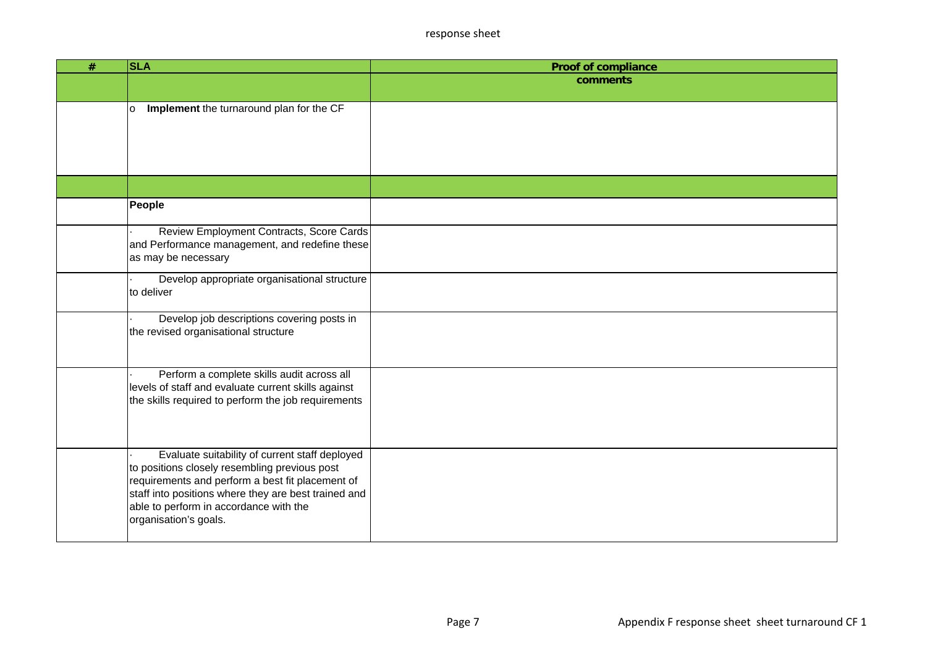| # | <b>SLA</b>                                                                                                                                                                                                                                                                     | <b>Proof of compliance</b> |
|---|--------------------------------------------------------------------------------------------------------------------------------------------------------------------------------------------------------------------------------------------------------------------------------|----------------------------|
|   |                                                                                                                                                                                                                                                                                | comments                   |
|   | Implement the turnaround plan for the CF<br>lo.                                                                                                                                                                                                                                |                            |
|   |                                                                                                                                                                                                                                                                                |                            |
|   | People                                                                                                                                                                                                                                                                         |                            |
|   | Review Employment Contracts, Score Cards<br>and Performance management, and redefine these<br>as may be necessary                                                                                                                                                              |                            |
|   | Develop appropriate organisational structure<br>to deliver                                                                                                                                                                                                                     |                            |
|   | Develop job descriptions covering posts in<br>the revised organisational structure                                                                                                                                                                                             |                            |
|   | Perform a complete skills audit across all<br>levels of staff and evaluate current skills against<br>the skills required to perform the job requirements                                                                                                                       |                            |
|   | Evaluate suitability of current staff deployed<br>to positions closely resembling previous post<br>requirements and perform a best fit placement of<br>staff into positions where they are best trained and<br>able to perform in accordance with the<br>organisation's goals. |                            |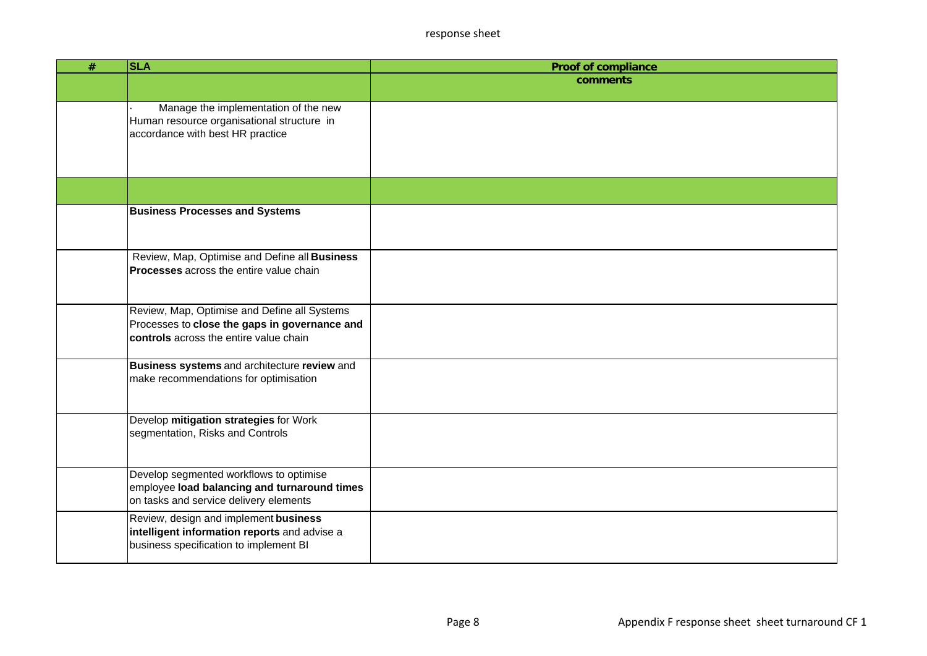| $\#$ | <b>SLA</b>                                                                                    | <b>Proof of compliance</b> |
|------|-----------------------------------------------------------------------------------------------|----------------------------|
|      |                                                                                               | comments                   |
|      |                                                                                               |                            |
|      | Manage the implementation of the new                                                          |                            |
|      | Human resource organisational structure in<br>accordance with best HR practice                |                            |
|      |                                                                                               |                            |
|      |                                                                                               |                            |
|      |                                                                                               |                            |
|      |                                                                                               |                            |
|      | <b>Business Processes and Systems</b>                                                         |                            |
|      |                                                                                               |                            |
|      |                                                                                               |                            |
|      | Review, Map, Optimise and Define all Business                                                 |                            |
|      | <b>Processes</b> across the entire value chain                                                |                            |
|      |                                                                                               |                            |
|      |                                                                                               |                            |
|      | Review, Map, Optimise and Define all Systems<br>Processes to close the gaps in governance and |                            |
|      | controls across the entire value chain                                                        |                            |
|      |                                                                                               |                            |
|      | Business systems and architecture review and                                                  |                            |
|      | make recommendations for optimisation                                                         |                            |
|      |                                                                                               |                            |
|      | Develop mitigation strategies for Work                                                        |                            |
|      | segmentation, Risks and Controls                                                              |                            |
|      |                                                                                               |                            |
|      |                                                                                               |                            |
|      | Develop segmented workflows to optimise                                                       |                            |
|      | employee load balancing and turnaround times                                                  |                            |
|      | on tasks and service delivery elements                                                        |                            |
|      | Review, design and implement business                                                         |                            |
|      | intelligent information reports and advise a<br>business specification to implement BI        |                            |
|      |                                                                                               |                            |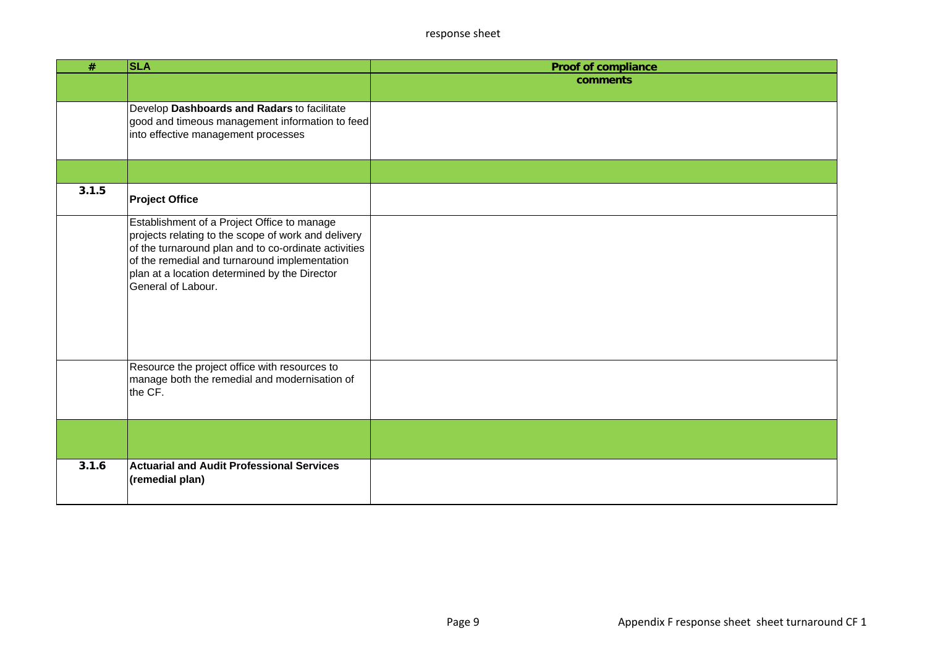| $\#$  | <b>SLA</b>                                                                                                                                                                                                                                                                         | <b>Proof of compliance</b> |
|-------|------------------------------------------------------------------------------------------------------------------------------------------------------------------------------------------------------------------------------------------------------------------------------------|----------------------------|
|       |                                                                                                                                                                                                                                                                                    | comments                   |
|       | Develop Dashboards and Radars to facilitate<br>good and timeous management information to feed<br>into effective management processes                                                                                                                                              |                            |
|       |                                                                                                                                                                                                                                                                                    |                            |
| 3.1.5 | <b>Project Office</b>                                                                                                                                                                                                                                                              |                            |
|       | Establishment of a Project Office to manage<br>projects relating to the scope of work and delivery<br>of the turnaround plan and to co-ordinate activities<br>of the remedial and turnaround implementation<br>plan at a location determined by the Director<br>General of Labour. |                            |
|       | Resource the project office with resources to<br>manage both the remedial and modernisation of<br>the CF.                                                                                                                                                                          |                            |
|       |                                                                                                                                                                                                                                                                                    |                            |
| 3.1.6 | <b>Actuarial and Audit Professional Services</b><br>(remedial plan)                                                                                                                                                                                                                |                            |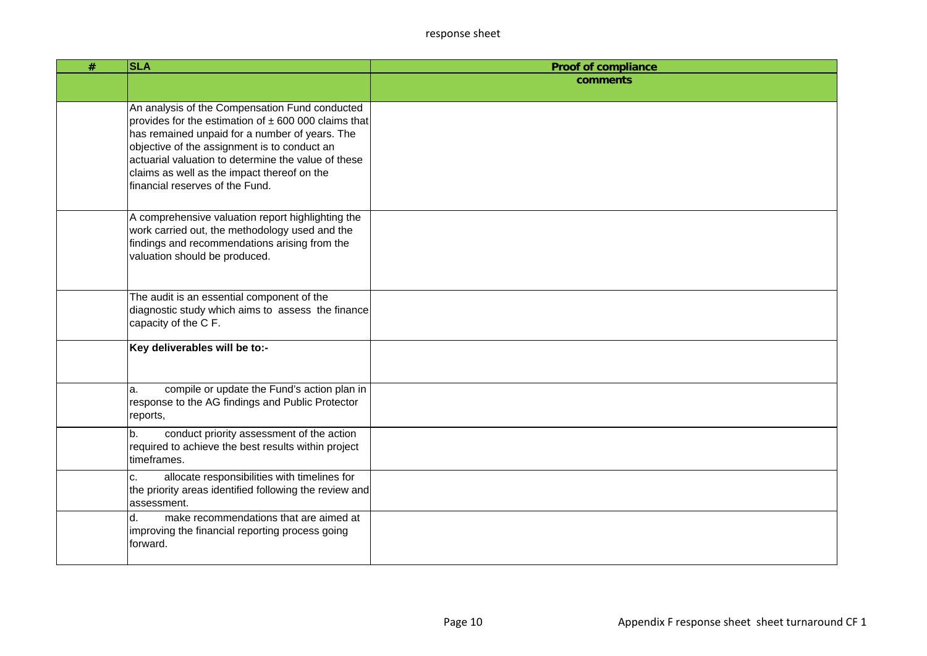| # | <b>SLA</b>                                                                                                                                                                                                                                                                                                                                            | <b>Proof of compliance</b> |
|---|-------------------------------------------------------------------------------------------------------------------------------------------------------------------------------------------------------------------------------------------------------------------------------------------------------------------------------------------------------|----------------------------|
|   |                                                                                                                                                                                                                                                                                                                                                       | comments                   |
|   | An analysis of the Compensation Fund conducted<br>provides for the estimation of $\pm$ 600 000 claims that<br>has remained unpaid for a number of years. The<br>objective of the assignment is to conduct an<br>actuarial valuation to determine the value of these<br>claims as well as the impact thereof on the<br>financial reserves of the Fund. |                            |
|   | A comprehensive valuation report highlighting the<br>work carried out, the methodology used and the<br>findings and recommendations arising from the<br>valuation should be produced.                                                                                                                                                                 |                            |
|   | The audit is an essential component of the<br>diagnostic study which aims to assess the finance<br>capacity of the C F.                                                                                                                                                                                                                               |                            |
|   | Key deliverables will be to:-                                                                                                                                                                                                                                                                                                                         |                            |
|   | compile or update the Fund's action plan in<br>la.<br>response to the AG findings and Public Protector<br>reports,                                                                                                                                                                                                                                    |                            |
|   | conduct priority assessment of the action<br>b.<br>required to achieve the best results within project<br>timeframes.                                                                                                                                                                                                                                 |                            |
|   | allocate responsibilities with timelines for<br>c.<br>the priority areas identified following the review and<br>lassessment.                                                                                                                                                                                                                          |                            |
|   | d.<br>make recommendations that are aimed at<br>improving the financial reporting process going<br>forward.                                                                                                                                                                                                                                           |                            |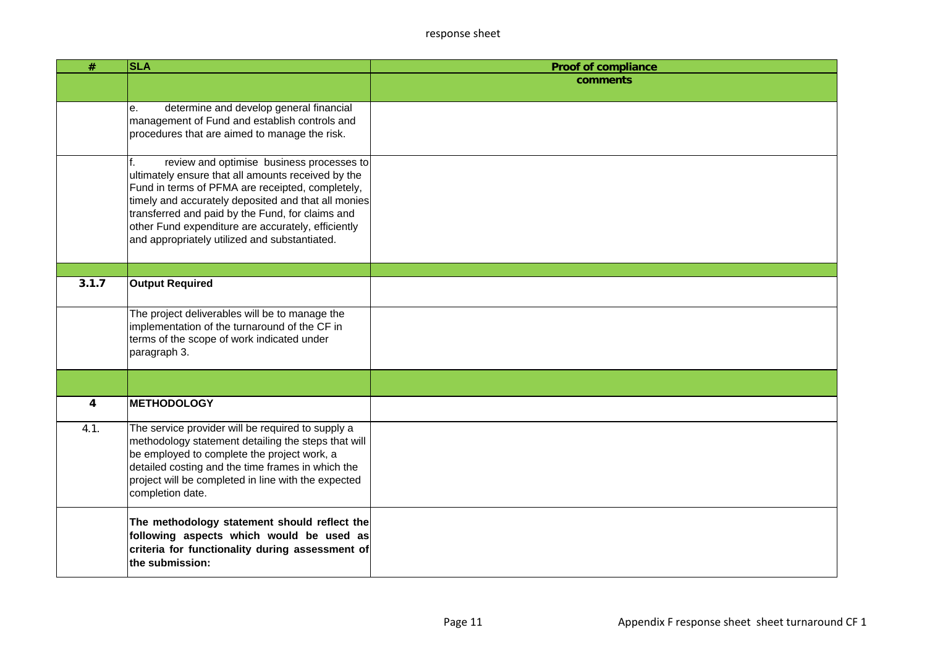| #              | <b>SLA</b>                                                                                                                                                                                                                                                                                                                                                                  | <b>Proof of compliance</b> |
|----------------|-----------------------------------------------------------------------------------------------------------------------------------------------------------------------------------------------------------------------------------------------------------------------------------------------------------------------------------------------------------------------------|----------------------------|
|                |                                                                                                                                                                                                                                                                                                                                                                             | comments                   |
|                | determine and develop general financial<br>е.<br>management of Fund and establish controls and<br>procedures that are aimed to manage the risk.                                                                                                                                                                                                                             |                            |
|                | review and optimise business processes to<br>f.<br>ultimately ensure that all amounts received by the<br>Fund in terms of PFMA are receipted, completely,<br>timely and accurately deposited and that all monies<br>transferred and paid by the Fund, for claims and<br>other Fund expenditure are accurately, efficiently<br>and appropriately utilized and substantiated. |                            |
|                |                                                                                                                                                                                                                                                                                                                                                                             |                            |
| 3.1.7          | <b>Output Required</b>                                                                                                                                                                                                                                                                                                                                                      |                            |
|                | The project deliverables will be to manage the<br>implementation of the turnaround of the CF in<br>terms of the scope of work indicated under<br>paragraph 3.                                                                                                                                                                                                               |                            |
|                |                                                                                                                                                                                                                                                                                                                                                                             |                            |
| $\overline{4}$ | <b>METHODOLOGY</b>                                                                                                                                                                                                                                                                                                                                                          |                            |
| 4.1.           | The service provider will be required to supply a<br>methodology statement detailing the steps that will<br>be employed to complete the project work, a<br>detailed costing and the time frames in which the<br>project will be completed in line with the expected<br>completion date.                                                                                     |                            |
|                | The methodology statement should reflect the<br>following aspects which would be used as<br>criteria for functionality during assessment of<br>the submission:                                                                                                                                                                                                              |                            |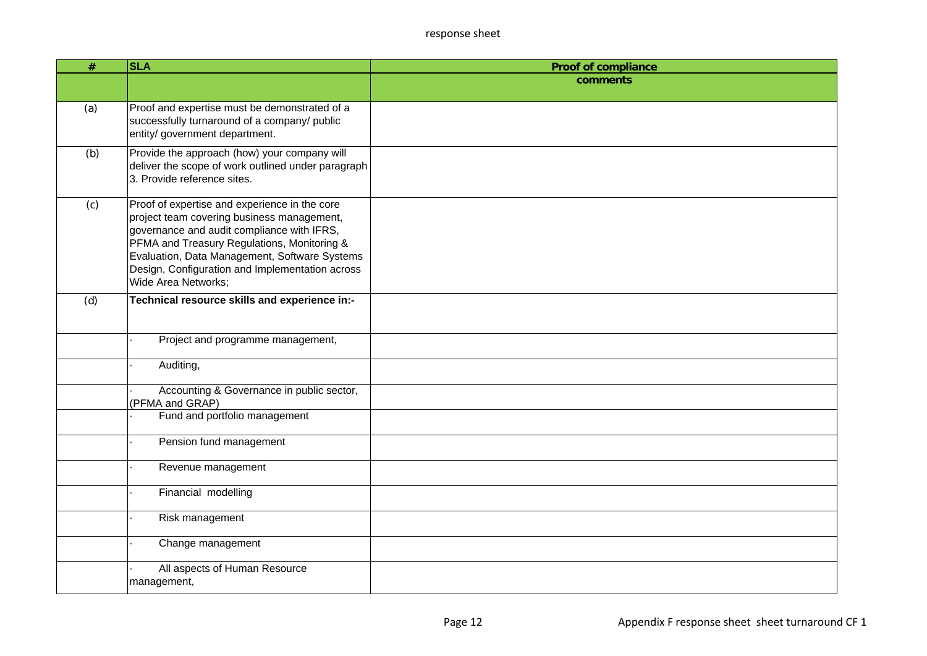| #   | <b>SLA</b>                                                                                         | <b>Proof of compliance</b> |
|-----|----------------------------------------------------------------------------------------------------|----------------------------|
|     |                                                                                                    | comments                   |
|     |                                                                                                    |                            |
| (a) | Proof and expertise must be demonstrated of a                                                      |                            |
|     | successfully turnaround of a company/ public<br>entity/ government department.                     |                            |
|     |                                                                                                    |                            |
| (b) | Provide the approach (how) your company will<br>deliver the scope of work outlined under paragraph |                            |
|     | 3. Provide reference sites.                                                                        |                            |
|     |                                                                                                    |                            |
| (c) | Proof of expertise and experience in the core<br>project team covering business management,        |                            |
|     | governance and audit compliance with IFRS,                                                         |                            |
|     | PFMA and Treasury Regulations, Monitoring &                                                        |                            |
|     | Evaluation, Data Management, Software Systems                                                      |                            |
|     | Design, Configuration and Implementation across<br>Wide Area Networks;                             |                            |
|     |                                                                                                    |                            |
| (d) | Technical resource skills and experience in:-                                                      |                            |
|     |                                                                                                    |                            |
|     | Project and programme management,                                                                  |                            |
|     | Auditing,                                                                                          |                            |
|     |                                                                                                    |                            |
|     | Accounting & Governance in public sector,                                                          |                            |
|     | (PFMA and GRAP)<br>Fund and portfolio management                                                   |                            |
|     |                                                                                                    |                            |
|     | Pension fund management                                                                            |                            |
|     | Revenue management                                                                                 |                            |
|     |                                                                                                    |                            |
|     | Financial modelling                                                                                |                            |
|     | Risk management                                                                                    |                            |
|     | Change management                                                                                  |                            |
|     | All aspects of Human Resource                                                                      |                            |
|     | management,                                                                                        |                            |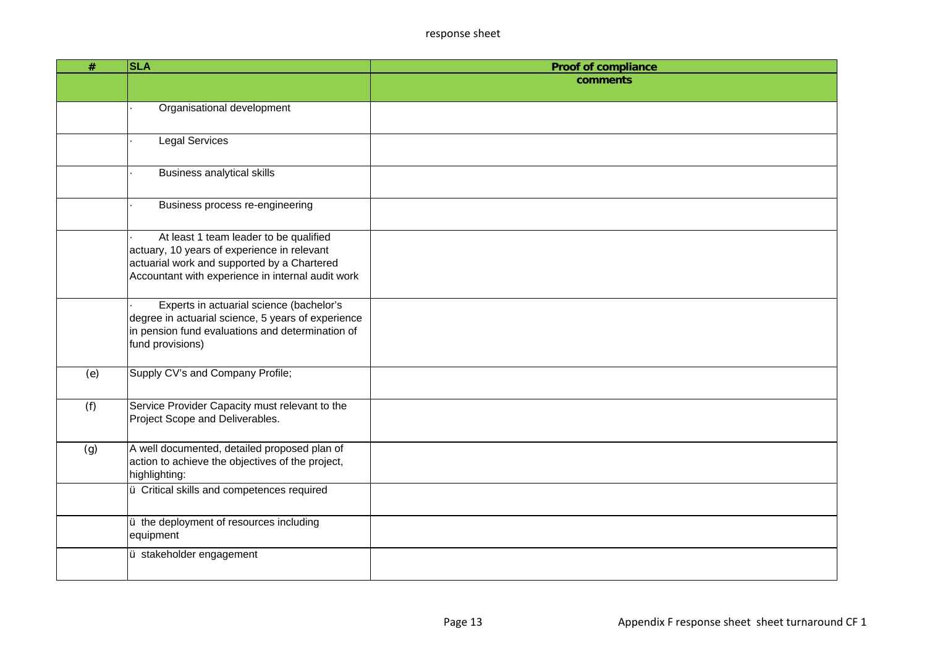| #   | <b>SLA</b>                                                                                                                                                                                | <b>Proof of compliance</b> |
|-----|-------------------------------------------------------------------------------------------------------------------------------------------------------------------------------------------|----------------------------|
|     |                                                                                                                                                                                           | comments                   |
|     |                                                                                                                                                                                           |                            |
|     | Organisational development                                                                                                                                                                |                            |
|     |                                                                                                                                                                                           |                            |
|     | <b>Legal Services</b>                                                                                                                                                                     |                            |
|     | <b>Business analytical skills</b>                                                                                                                                                         |                            |
|     | Business process re-engineering                                                                                                                                                           |                            |
|     | At least 1 team leader to be qualified<br>actuary, 10 years of experience in relevant<br>actuarial work and supported by a Chartered<br>Accountant with experience in internal audit work |                            |
|     | Experts in actuarial science (bachelor's<br>degree in actuarial science, 5 years of experience<br>in pension fund evaluations and determination of<br>fund provisions)                    |                            |
| (e) | Supply CV's and Company Profile;                                                                                                                                                          |                            |
| (f) | Service Provider Capacity must relevant to the<br>Project Scope and Deliverables.                                                                                                         |                            |
| (g) | A well documented, detailed proposed plan of<br>action to achieve the objectives of the project,<br>highlighting:                                                                         |                            |
|     | ü Critical skills and competences required                                                                                                                                                |                            |
|     | u the deployment of resources including<br>equipment                                                                                                                                      |                            |
|     | ü stakeholder engagement                                                                                                                                                                  |                            |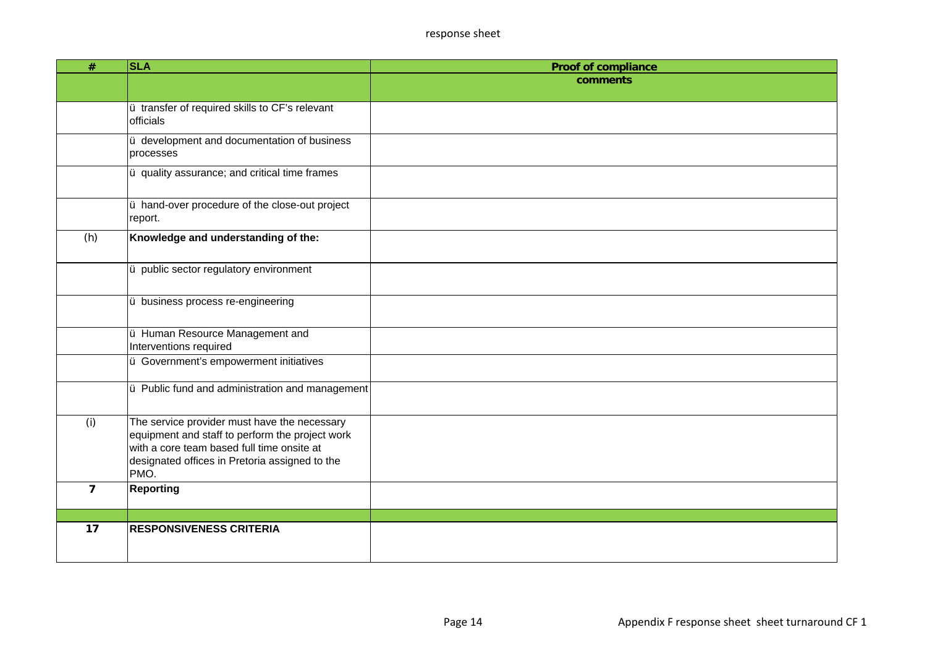| #              | <b>SLA</b>                                                                                                                                                                                              | <b>Proof of compliance</b> |
|----------------|---------------------------------------------------------------------------------------------------------------------------------------------------------------------------------------------------------|----------------------------|
|                |                                                                                                                                                                                                         | comments                   |
|                |                                                                                                                                                                                                         |                            |
|                | ü transfer of required skills to CF's relevant<br>officials                                                                                                                                             |                            |
|                | ü development and documentation of business<br>processes                                                                                                                                                |                            |
|                | ju quality assurance; and critical time frames                                                                                                                                                          |                            |
|                | u hand-over procedure of the close-out project<br>report.                                                                                                                                               |                            |
| (h)            | Knowledge and understanding of the:                                                                                                                                                                     |                            |
|                | ü public sector regulatory environment                                                                                                                                                                  |                            |
|                | u business process re-engineering                                                                                                                                                                       |                            |
|                | ü Human Resource Management and<br>Interventions required                                                                                                                                               |                            |
|                | ü Government's empowerment initiatives                                                                                                                                                                  |                            |
|                | u Public fund and administration and management                                                                                                                                                         |                            |
| (i)            | The service provider must have the necessary<br>equipment and staff to perform the project work<br>with a core team based full time onsite at<br>designated offices in Pretoria assigned to the<br>PMO. |                            |
| $\overline{7}$ | <b>Reporting</b>                                                                                                                                                                                        |                            |
|                |                                                                                                                                                                                                         |                            |
| 17             | <b>RESPONSIVENESS CRITERIA</b>                                                                                                                                                                          |                            |